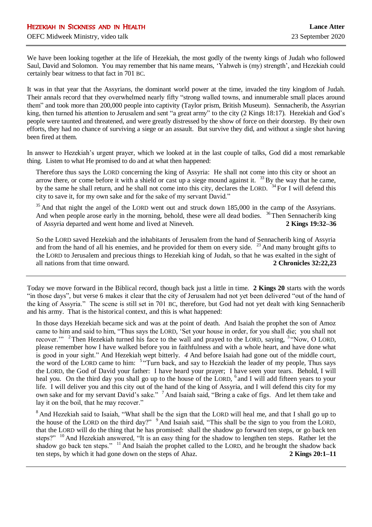We have been looking together at the life of Hezekiah, the most godly of the twenty kings of Judah who followed Saul, David and Solomon. You may remember that his name means, 'Yahweh is (my) strength', and Hezekiah could certainly bear witness to that fact in 701 BC.

It was in that year that the Assyrians, the dominant world power at the time, invaded the tiny kingdom of Judah. Their annals record that they overwhelmed nearly fifty "strong walled towns, and innumerable small places around them" and took more than 200,000 people into captivity (Taylor prism, British Museum). Sennacherib, the Assyrian king, then turned his attention to Jerusalem and sent "a great army" to the city (2 Kings 18:17). Hezekiah and God's people were taunted and threatened, and were greatly distressed by the show of force on their doorstep. By their own efforts, they had no chance of surviving a siege or an assault. But survive they did, and without a single shot having been fired at them.

In answer to Hezekiah's urgent prayer, which we looked at in the last couple of talks, God did a most remarkable thing. Listen to what He promised to do and at what then happened:

Therefore thus says the LORD concerning the king of Assyria: He shall not come into this city or shoot an arrow there, or come before it with a shield or cast up a siege mound against it.  $33$  By the way that he came, by the same he shall return, and he shall not come into this city, declares the LORD. <sup>34</sup> For I will defend this city to save it, for my own sake and for the sake of my servant David."

<sup>35</sup> And that night the angel of the LORD went out and struck down 185,000 in the camp of the Assyrians. And when people arose early in the morning, behold, these were all dead bodies. <sup>36</sup> Then Sennacherib king of Assyria departed and went home and lived at Nineveh. **2 Kings 19:32–36**

So the LORD saved Hezekiah and the inhabitants of Jerusalem from the hand of Sennacherib king of Assyria and from the hand of all his enemies, and he provided for them on every side.  $23$  And many brought gifts to the LORD to Jerusalem and precious things to Hezekiah king of Judah, so that he was exalted in the sight of all nations from that time onward. **2 Chronicles 32:22,23**

Today we move forward in the Biblical record, though back just a little in time. **2 Kings 20** starts with the words "in those days", but verse 6 makes it clear that the city of Jerusalem had not yet been delivered "out of the hand of the king of Assyria." The scene is still set in 701 BC, therefore, but God had not yet dealt with king Sennacherib and his army. That is the historical context, and this is what happened:

In those days Hezekiah became sick and was at the point of death. And Isaiah the prophet the son of Amoz came to him and said to him, "Thus says the LORD, 'Set your house in order, for you shall die; you shall not recover."<sup>2</sup> Then Hezekiah turned his face to the wall and prayed to the LORD, saying, <sup>3</sup> Now, O LORD, please remember how I have walked before you in faithfulness and with a whole heart, and have done what is good in your sight." And Hezekiah wept bitterly. *4* And before Isaiah had gone out of the middle court, the word of the LORD came to him: <sup>5</sup> "Turn back, and say to Hezekiah the leader of my people, Thus says the LORD, the God of David your father: I have heard your prayer; I have seen your tears. Behold, I will heal you. On the third day you shall go up to the house of the LORD, <sup>6</sup> and I will add fifteen years to your life. I will deliver you and this city out of the hand of the king of Assyria, and I will defend this city for my own sake and for my servant David's sake." <sup>7</sup> And Isaiah said, "Bring a cake of figs. And let them take and lay it on the boil, that he may recover."

<sup>8</sup> And Hezekiah said to Isaiah, "What shall be the sign that the LORD will heal me, and that I shall go up to the house of the LORD on the third day?" <sup>9</sup> And Isaiah said, "This shall be the sign to you from the LORD, that the LORD will do the thing that he has promised: shall the shadow go forward ten steps, or go back ten steps?"<sup>10</sup> And Hezekiah answered, "It is an easy thing for the shadow to lengthen ten steps. Rather let the shadow go back ten steps." <sup>11</sup> And Isaiah the prophet called to the LORD, and he brought the shadow back ten steps, by which it had gone down on the steps of Ahaz. **2 Kings 20:1–11**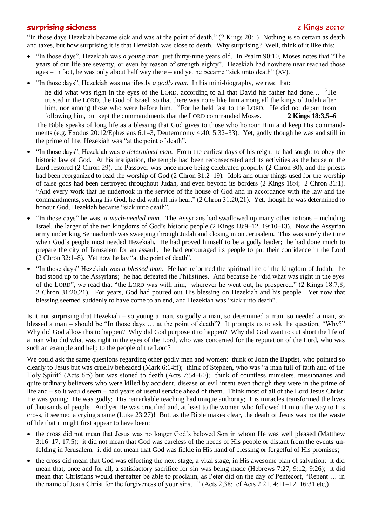## surprising sickness 2 Aings 20:1a

"In those days Hezekiah became sick and was at the point of death." (2 Kings 20:1) Nothing is so certain as death and taxes, but how surprising it is that Hezekiah was close to death. Why surprising? Well, think of it like this:

- "In those days", Hezekiah was *a young man*, just thirty-nine years old. In PsaIm 90:10, Moses notes that "The years of our life are seventy, or even by reason of strength eighty". Hezekiah had nowhere near reached those ages – in fact, he was only about half way there – and yet he became "sick unto death"  $(AV)$ .
- "In those days", Hezekiah was manifestly *a godly man*. In his mini-biography, we read that:
	- he did what was right in the eyes of the LORD, according to all that David his father had done... <sup>5</sup>He trusted in the LORD, the God of Israel, so that there was none like him among all the kings of Judah after him, nor among those who were before him. <sup>6</sup> For he held fast to the LORD. He did not depart from following him, but kept the commandments that the LORD commanded Moses. **2 Kings 18:3,5–6**

The Bible speaks of long life as a blessing that God gives to those who honour Him and keep His commandments (e.g. Exodus 20:12/Ephesians 6:1–3, Deuteronomy 4:40, 5:32–33). Yet, godly though he was and still in the prime of life, Hezekiah was "at the point of death".

- "In those days", Hezekiah was *a determined man*. From the earliest days of his reign, he had sought to obey the historic law of God. At his instigation, the temple had been reconsecrated and its activities as the house of the Lord restored (2 Chron 29), the Passover was once more being celebrated properly (2 Chron 30), and the priests had been reorganized to lead the worship of God (2 Chron 31:2–19). Idols and other things used for the worship of false gods had been destroyed throughout Judah, and even beyond its borders (2 Kings 18:4; 2 Chron 31:1). "And every work that he undertook in the service of the house of God and in accordance with the law and the commandments, seeking his God, he did with all his heart" (2 Chron 31:20,21). Yet, though he was determined to honour God, Hezekiah became "sick unto death".
- "In those days" he was, *a much-needed man*. The Assyrians had swallowed up many other nations including Israel, the larger of the two kingdoms of God's historic people (2 Kings 18:9–12, 19:10–13). Now the Assyrian army under king Sennacherib was sweeping through Judah and closing in on Jerusalem. This was surely the time when God's people most needed Hezekiah. He had proved himself to be a godly leader; he had done much to prepare the city of Jerusalem for an assault; he had encouraged its people to put their confidence in the Lord (2 Chron 32:1–8). Yet now he lay "at the point of death".
- "In those days" Hezekiah was *a blessed man*. He had reformed the spiritual life of the kingdom of Judah; he had stood up to the Assyrians; he had defeated the Philistines. And because he "did what was right in the eyes of the LORD", we read that "the LORD was with him; wherever he went out, he prospered." (2 Kings 18:7,8; 2 Chron 31:20,21). For years, God had poured out His blessing on Hezekiah and his people. Yet now that blessing seemed suddenly to have come to an end, and Hezekiah was "sick unto death".

Is it not surprising that Hezekiah – so young a man, so godly a man, so determined a man, so needed a man, so blessed a man – should be "In those days … at the point of death"? It prompts us to ask the question, "Why?" Why did God allow this to happen? Why did God purpose it to happen? Why did God want to cut short the life of a man who did what was right in the eyes of the Lord, who was concerned for the reputation of the Lord, who was such an example and help to the people of the Lord?

We could ask the same questions regarding other godly men and women: think of John the Baptist, who pointed so clearly to Jesus but was cruelly beheaded (Mark 6:14ff); think of Stephen, who was "a man full of faith and of the Holy Spirit" (Acts 6:5) but was stoned to death (Acts 7:54–60); think of countless ministers, missionaries and quite ordinary believers who were killed by accident, disease or evil intent even though they were in the prime of life and – so it would seem – had years of useful service ahead of them. Think most of all of the Lord Jesus Christ: He was young; He was godly; His remarkable teaching had unique authority; His miracles transformed the lives of thousands of people. And yet He was crucified and, at least to the women who followed Him on the way to His cross, it seemed a crying shame (Luke 23:27)! But, as the Bible makes clear, the death of Jesus was not the waste of life that it might first appear to have been:

- the cross did not mean that Jesus was no longer God's beloved Son in whom He was well pleased (Matthew 3:16–17, 17:5); it did not mean that God was careless of the needs of His people or distant from the events unfolding in Jerusalem; it did not mean that God was fickle in His hand of blessing or forgetful of His promises;
- the cross did mean that God was effecting the next stage, a vital stage, in His awesome plan of salvation; it did mean that, once and for all, a satisfactory sacrifice for sin was being made (Hebrews 7:27, 9:12, 9:26); it did mean that Christians would thereafter be able to proclaim, as Peter did on the day of Pentecost, "Repent … in the name of Jesus Christ for the forgiveness of your sins…" (Acts 2;38; cf Acts 2:21, 4:11–12, 16:31 etc,)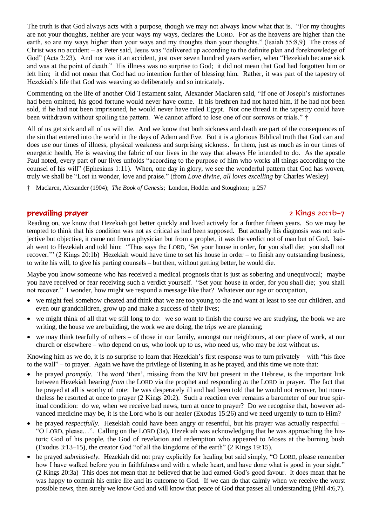The truth is that God always acts with a purpose, though we may not always know what that is. "For my thoughts are not your thoughts, neither are your ways my ways, declares the LORD. For as the heavens are higher than the earth, so are my ways higher than your ways and my thoughts than your thoughts." (Isaiah 55:8,9) The cross of Christ was no accident – as Peter said, Jesus was "delivered up according to the definite plan and foreknowledge of God" (Acts 2:23). And nor was it an accident, just over seven hundred years earlier, when "Hezekiah became sick and was at the point of death." His illness was no surprise to God; it did not mean that God had forgotten him or left him; it did not mean that God had no intention further of blessing him. Rather, it was part of the tapestry of Hezekiah's life that God was weaving so deliberately and so intricately.

Commenting on the life of another Old Testament saint, Alexander Maclaren said, "If one of Joseph's misfortunes had been omitted, his good fortune would never have come. If his brethren had not hated him, if he had not been sold, if he had not been imprisoned, he would never have ruled Egypt. Not one thread in the tapestry could have been withdrawn without spoiling the pattern. We cannot afford to lose one of our sorrows or trials." †

All of us get sick and all of us will die. And we know that both sickness and death are part of the consequences of the sin that entered into the world in the days of Adam and Eve. But it is a glorious Biblical truth that God can and does use our times of illness, physical weakness and surprising sickness. In them, just as much as in our times of energetic health, He is weaving the fabric of our lives in the way that always He intended to do. As the apostle Paul noted, every part of our lives unfolds "according to the purpose of him who works all things according to the counsel of his will" (Ephesians 1:11). When, one day in glory, we see the wonderful pattern that God has woven, truly we shall be "Lost in wonder, love and praise." (from *Love divine, all loves excelling* by Charles Wesley)

† Maclaren, Alexander (1904); *The Book of Genesis*; London, Hodder and Stoughton; p.257

## prevailing prayer 2 Kings 20:1b–7

Reading on, we know that Hezekiah got better quickly and lived actively for a further fifteen years. So we may be tempted to think that his condition was not as critical as had been supposed. But actually his diagnosis was not subjective but objective, it came not from a physician but from a prophet, it was the verdict not of man but of God. Isaiah went to Hezekiah and told him: "Thus says the LORD, 'Set your house in order, for you shall die; you shall not recover.'" (2 Kings 20:1b) Hezekiah would have time to set his house in order – to finish any outstanding business, to write his will, to give his parting counsels – but then, without getting better, he would die.

Maybe you know someone who has received a medical prognosis that is just as sobering and unequivocal; maybe you have received or fear receiving such a verdict yourself. "Set your house in order, for you shall die; you shall not recover." I wonder, how might we respond a message like that? Whatever our age or occupation,

- we might feel somehow cheated and think that we are too young to die and want at least to see our children, and even our grandchildren, grow up and make a success of their lives;
- we might think of all that we still long to do: we so want to finish the course we are studying, the book we are writing, the house we are building, the work we are doing, the trips we are planning;
- we may think tearfully of others of those in our family, amongst our neighbours, at our place of work, at our church or elsewhere – who depend on us, who look up to us, who need us, who may be lost without us.

Knowing him as we do, it is no surprise to learn that Hezekiah's first response was to turn privately – with "his face" to the wall" – to prayer. Again we have the privilege of listening in as he prayed, and this time we note that:

- he prayed *promptly*. The word 'then', missing from the NIV but present in the Hebrew, is the important link between Hezekiah hearing *from* the LORD via the prophet and responding *to* the LORD in prayer. The fact that he prayed at all is worthy of note: he was desperately ill and had been told that he would not recover, but nonetheless he resorted at once to prayer (2 Kings 20:2). Such a reaction ever remains a barometer of our true spiritual condition: do we, when we receive bad news, turn at once to prayer? Do we recognise that, however advanced medicine may be, it is the Lord who is our healer (Exodus 15:26) and we need urgently to turn to Him?
- he prayed *respectfully*. Hezekiah could have been angry or resentful, but his prayer was actually respectful "O LORD, please…". Calling on the LORD (3a), Hezekiah was acknowledging that he was approaching the historic God of his people, the God of revelation and redemption who appeared to Moses at the burning bush (Exodus 3:13–15), the creator God "of all the kingdoms of the earth" (2 Kings 19:15).
- he prayed *submissively*. Hezekiah did not pray explicitly for healing but said simply, "O LORD, please remember how I have walked before you in faithfulness and with a whole heart, and have done what is good in your sight." (2 Kings 20:3a) This does not mean that he believed that he had earned God's good favour. It does mean that he was happy to commit his entire life and its outcome to God. If we can do that calmly when we receive the worst possible news, then surely we know God and will know that peace of God that passes all understanding (Phil 4:6,7).